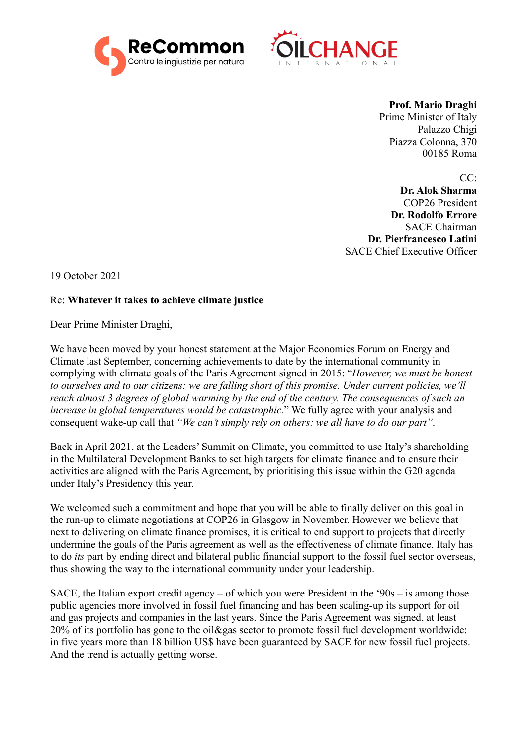



**Prof. Mario Draghi** Prime Minister of Italy Palazzo Chigi Piazza Colonna, 370 00185 Roma

 $CC:$ 

**Dr. Alok Sharma** COP26 President **Dr. Rodolfo Errore** SACE Chairman **Dr. Pierfrancesco Latini** SACE Chief Executive Officer

19 October 2021

## Re: **Whatever it takes to achieve climate justice**

Dear Prime Minister Draghi,

We have been moved by your honest statement at the Major Economies Forum on Energy and Climate last September, concerning achievements to date by the international community in complying with climate goals of the Paris Agreement signed in 2015: "*However, we must be honest to ourselves and to our citizens: we are falling short of this promise. Under current policies, we'll reach almost 3 degrees of global warming by the end of the century. The consequences of such an increase in global temperatures would be catastrophic.*" We fully agree with your analysis and consequent wake-up call that *"We can't simply rely on others: we all have to do our part"*.

Back in April 2021, at the Leaders' Summit on Climate, you committed to use Italy's shareholding in the Multilateral Development Banks to set high targets for climate finance and to ensure their activities are aligned with the Paris Agreement, by prioritising this issue within the G20 agenda under Italy's Presidency this year.

We welcomed such a commitment and hope that you will be able to finally deliver on this goal in the run-up to climate negotiations at COP26 in Glasgow in November. However we believe that next to delivering on climate finance promises, it is critical to end support to projects that directly undermine the goals of the Paris agreement as well as the effectiveness of climate finance. Italy has to do *its* part by ending direct and bilateral public financial support to the fossil fuel sector overseas, thus showing the way to the international community under your leadership.

SACE, the Italian export credit agency – of which you were President in the '90s – is among those public agencies more involved in fossil fuel financing and has been scaling-up its support for oil and gas projects and companies in the last years. Since the Paris Agreement was signed, at least 20% of its portfolio has gone to the oil&gas sector to promote fossil fuel development worldwide: in five years more than 18 billion US\$ have been guaranteed by SACE for new fossil fuel projects. And the trend is actually getting worse.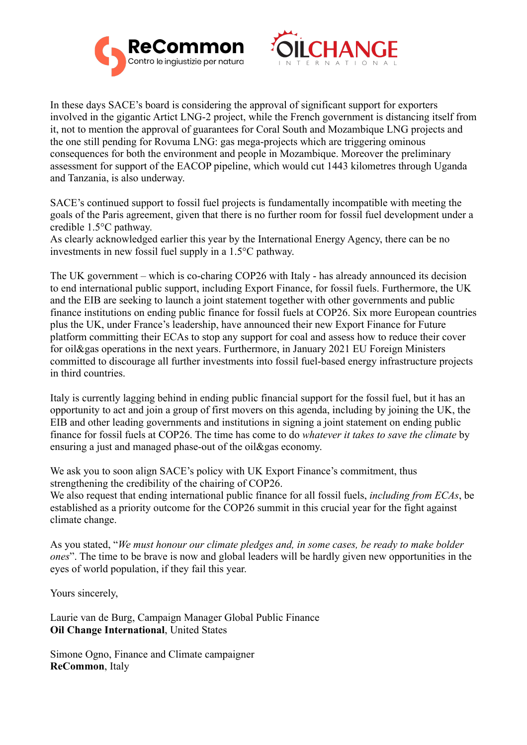



In these days SACE's board is considering the approval of significant support for exporters involved in the gigantic Artict LNG-2 project, while the French government is distancing itself from it, not to mention the approval of guarantees for Coral South and Mozambique LNG projects and the one still pending for Rovuma LNG: gas mega-projects which are triggering ominous consequences for both the environment and people in Mozambique. Moreover the preliminary assessment for support of the EACOP pipeline, which would cut 1443 kilometres through Uganda and Tanzania, is also underway.

SACE's continued support to fossil fuel projects is fundamentally incompatible with meeting the goals of the Paris agreement, given that there is no further room for fossil fuel development under a credible 1.5°C pathway.

As clearly acknowledged earlier this year by the International Energy Agency, there can be no investments in new fossil fuel supply in a 1.5°C pathway.

The UK government – which is co-charing COP26 with Italy - has already announced its decision to end international public support, including Export Finance, for fossil fuels. Furthermore, the UK and the EIB are seeking to launch a joint statement together with other governments and public finance institutions on ending public finance for fossil fuels at COP26. Six more European countries plus the UK, under France's leadership, have announced their new Export Finance for Future platform committing their ECAs to stop any support for coal and assess how to reduce their cover for oil&gas operations in the next years. Furthermore, in January 2021 EU Foreign Ministers committed to discourage all further investments into fossil fuel-based energy infrastructure projects in third countries.

Italy is currently lagging behind in ending public financial support for the fossil fuel, but it has an opportunity to act and join a group of first movers on this agenda, including by joining the UK, the EIB and other leading governments and institutions in signing a joint statement on ending public finance for fossil fuels at COP26. The time has come to do *whatever it takes to save the climate* by ensuring a just and managed phase-out of the oil&gas economy.

We ask you to soon align SACE's policy with UK Export Finance's commitment, thus strengthening the credibility of the chairing of COP26.

We also request that ending international public finance for all fossil fuels, *including from ECAs*, be established as a priority outcome for the COP26 summit in this crucial year for the fight against climate change.

As you stated, "*We must honour our climate pledges and, in some cases, be ready to make bolder ones*". The time to be brave is now and global leaders will be hardly given new opportunities in the eyes of world population, if they fail this year.

Yours sincerely,

Laurie van de Burg, Campaign Manager Global Public Finance **Oil Change International**, United States

Simone Ogno, Finance and Climate campaigner **ReCommon**, Italy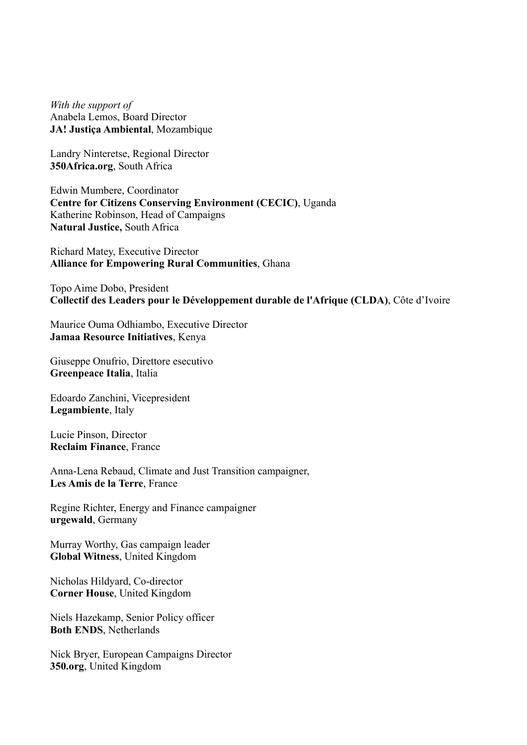*With the support of* Anabela Lemos, Board Director **JA! Justiça Ambiental**, Mozambique

Landry Ninteretse, Regional Director **350Africa.org**, South Africa

Edwin Mumbere, Coordinator **Centre for Citizens Conserving Environment (CECIC)**, Uganda Katherine Robinson, Head of Campaigns **Natural Justice,** South Africa

Richard Matey, Executive Director **Alliance for Empowering Rural Communities**, Ghana

Topo Aime Dobo, President **Collectif des Leaders pour le Développement durable de l'Afrique (CLDA)**, Côte d'Ivoire

Maurice Ouma Odhiambo, Executive Director **Jamaa Resource Initiatives**, Kenya

Giuseppe Onufrio, Direttore esecutivo **Greenpeace Italia**, Italia

Edoardo Zanchini, Vicepresident **Legambiente**, Italy

Lucie Pinson, Director **Reclaim Finance**, France

Anna-Lena Rebaud, Climate and Just Transition campaigner, **Les Amis de la Terre**, France

Regine Richter, Energy and Finance campaigner **urgewald**, Germany

Murray Worthy, Gas campaign leader **Global Witness**, United Kingdom

Nicholas Hildyard, Co-director **Corner House**, United Kingdom

Niels Hazekamp, Senior Policy officer **Both ENDS**, Netherlands

Nick Bryer, European Campaigns Director **350.org**, United Kingdom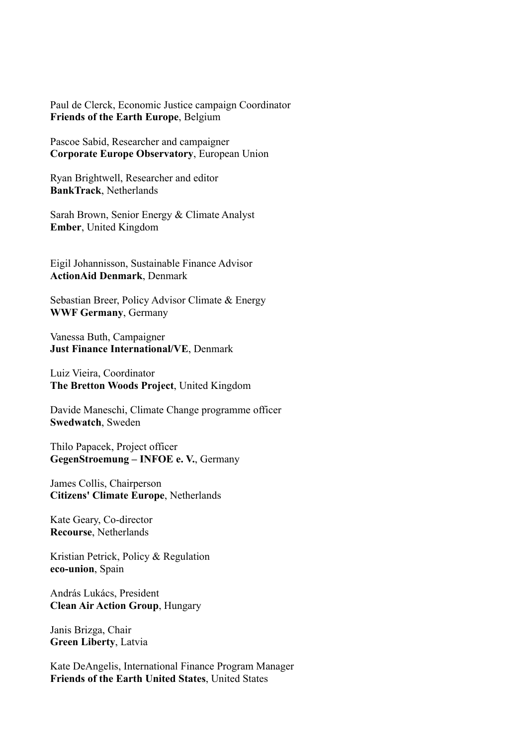Paul de Clerck, Economic Justice campaign Coordinator **Friends of the Earth Europe**, Belgium

Pascoe Sabid, Researcher and campaigner **Corporate Europe Observatory**, European Union

Ryan Brightwell, Researcher and editor **BankTrack**, Netherlands

Sarah Brown, Senior Energy & Climate Analyst **Ember**, United Kingdom

Eigil Johannisson, Sustainable Finance Advisor **ActionAid Denmark**, Denmark

Sebastian Breer, Policy Advisor Climate & Energy **WWF Germany**, Germany

Vanessa Buth, Campaigner **Just Finance International/VE**, Denmark

Luiz Vieira, Coordinator **The Bretton Woods Project**, United Kingdom

Davide Maneschi, Climate Change programme officer **Swedwatch**, Sweden

Thilo Papacek, Project officer **GegenStroemung – INFOE e. V.**, Germany

James Collis, Chairperson **Citizens' Climate Europe**, Netherlands

Kate Geary, Co-director **Recourse**, Netherlands

Kristian Petrick, Policy & Regulation **eco-union**, Spain

András Lukács, President **Clean Air Action Group**, Hungary

Janis Brizga, Chair **Green Liberty**, Latvia

Kate DeAngelis, International Finance Program Manager **Friends of the Earth United States**, United States